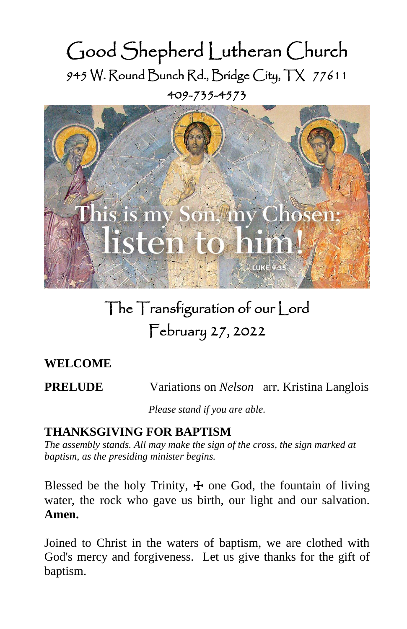# Good Shepherd Lutheran Church 945 W. Round Bunch Rd., Bridge City, TX 77611 409-735-4573



# The Transfiguration of our Lord February 27, 2022

# **WELCOME**

**PRELUDE** Variations on *Nelson* arr. Kristina Langlois

*Please stand if you are able.*

# **THANKSGIVING FOR BAPTISM**

*The assembly stands. All may make the sign of the cross, the sign marked at baptism, as the presiding minister begins.*

Blessed be the holy Trinity,  $\pm$  one God, the fountain of living water, the rock who gave us birth, our light and our salvation. **Amen.**

Joined to Christ in the waters of baptism, we are clothed with God's mercy and forgiveness. Let us give thanks for the gift of baptism.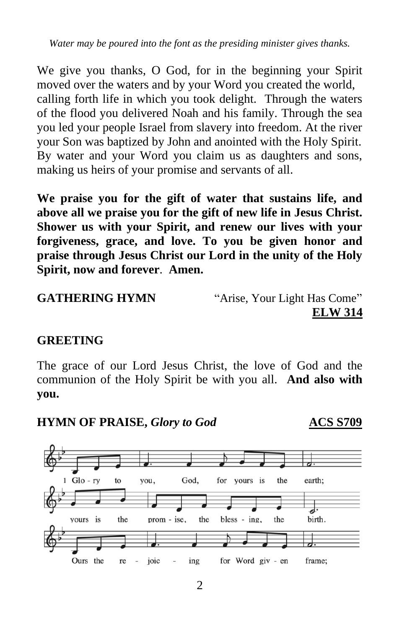*Water may be poured into the font as the presiding minister gives thanks.*

We give you thanks, O God, for in the beginning your Spirit moved over the waters and by your Word you created the world, calling forth life in which you took delight. Through the waters of the flood you delivered Noah and his family. Through the sea you led your people Israel from slavery into freedom. At the river your Son was baptized by John and anointed with the Holy Spirit. By water and your Word you claim us as daughters and sons, making us heirs of your promise and servants of all.

**We praise you for the gift of water that sustains life, and above all we praise you for the gift of new life in Jesus Christ. Shower us with your Spirit, and renew our lives with your forgiveness, grace, and love. To you be given honor and praise through Jesus Christ our Lord in the unity of the Holy Spirit, now and forever**. **Amen.** 

```
GATHERING HYMN "Arise, Your Light Has Come"
```
**ELW 314**

# **GREETING**

The grace of our Lord Jesus Christ, the love of God and the communion of the Holy Spirit be with you all. **And also with you.**

**HYMN OF PRAISE,** *Glory to God* **ACS S709**

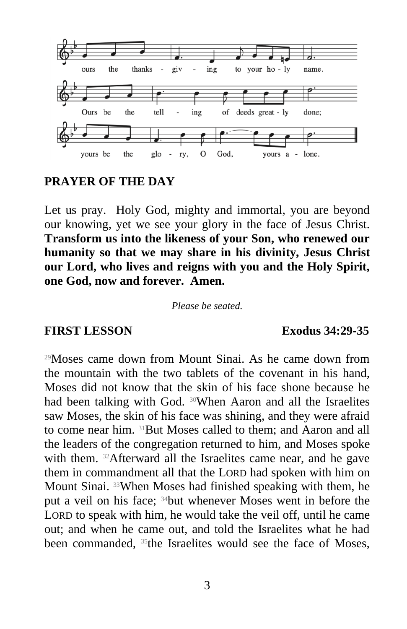

#### **PRAYER OF THE DAY**

Let us pray. Holy God, mighty and immortal, you are beyond our knowing, yet we see your glory in the face of Jesus Christ. **Transform us into the likeness of your Son, who renewed our humanity so that we may share in his divinity, Jesus Christ our Lord, who lives and reigns with you and the Holy Spirit, one God, now and forever. Amen.**

*Please be seated.*

#### **FIRST LESSON Exodus 34:29-35**

<sup>29</sup>Moses came down from Mount Sinai. As he came down from the mountain with the two tablets of the covenant in his hand, Moses did not know that the skin of his face shone because he had been talking with God. <sup>30</sup>When Aaron and all the Israelites saw Moses, the skin of his face was shining, and they were afraid to come near him. 31But Moses called to them; and Aaron and all the leaders of the congregation returned to him, and Moses spoke with them. <sup>32</sup>Afterward all the Israelites came near, and he gave them in commandment all that the LORD had spoken with him on Mount Sinai. 33When Moses had finished speaking with them, he put a veil on his face; 34but whenever Moses went in before the LORD to speak with him, he would take the veil off, until he came out; and when he came out, and told the Israelites what he had been commanded, <sup>35</sup>the Israelites would see the face of Moses,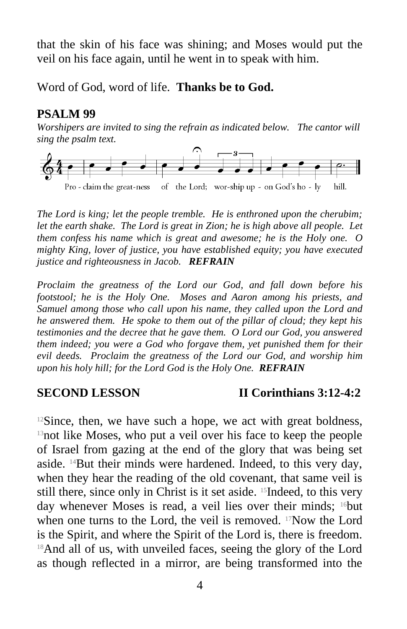that the skin of his face was shining; and Moses would put the veil on his face again, until he went in to speak with him.

Word of God, word of life. **Thanks be to God.**

#### **PSALM 99**

*Worshipers are invited to sing the refrain as indicated below. The cantor will sing the psalm text.*



*The Lord is king; let the people tremble. He is enthroned upon the cherubim; let the earth shake. The Lord is great in Zion; he is high above all people. Let them confess his name which is great and awesome; he is the Holy one. O mighty King, lover of justice, you have established equity; you have executed justice and righteousness in Jacob. REFRAIN*

*Proclaim the greatness of the Lord our God, and fall down before his footstool; he is the Holy One. Moses and Aaron among his priests, and Samuel among those who call upon his name, they called upon the Lord and he answered them. He spoke to them out of the pillar of cloud; they kept his testimonies and the decree that he gave them. O Lord our God, you answered them indeed; you were a God who forgave them, yet punished them for their evil deeds. Proclaim the greatness of the Lord our God, and worship him upon his holy hill; for the Lord God is the Holy One. REFRAIN*

# **SECOND LESSON II Corinthians 3:12-4:2**

 $12$ Since, then, we have such a hope, we act with great boldness, <sup>13</sup>not like Moses, who put a veil over his face to keep the people of Israel from gazing at the end of the glory that was being set aside. 14But their minds were hardened. Indeed, to this very day, when they hear the reading of the old covenant, that same veil is still there, since only in Christ is it set aside. 15Indeed, to this very day whenever Moses is read, a veil lies over their minds; 16but when one turns to the Lord, the veil is removed.  $17$ Now the Lord is the Spirit, and where the Spirit of the Lord is, there is freedom. <sup>18</sup>And all of us, with unveiled faces, seeing the glory of the Lord as though reflected in a mirror, are being transformed into the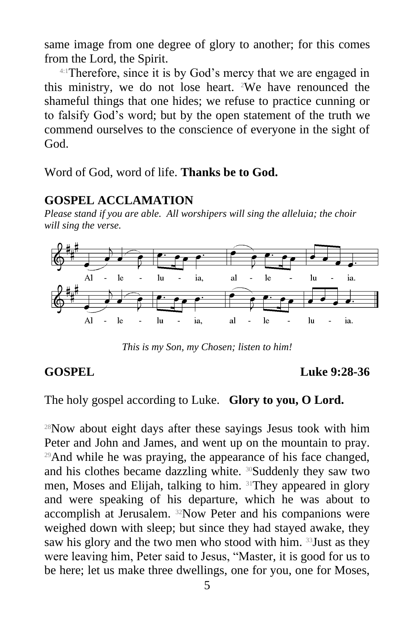same image from one degree of glory to another; for this comes from the Lord, the Spirit.

4:1Therefore, since it is by God's mercy that we are engaged in this ministry, we do not lose heart. 2We have renounced the shameful things that one hides; we refuse to practice cunning or to falsify God's word; but by the open statement of the truth we commend ourselves to the conscience of everyone in the sight of God.

Word of God, word of life. **Thanks be to God.**

### **GOSPEL ACCLAMATION**

*Please stand if you are able. All worshipers will sing the alleluia; the choir will sing the verse.*



*This is my Son, my Chosen; listen to him!*

**GOSPEL Luke 9:28-36**

The holy gospel according to Luke. **Glory to you, O Lord.**

<sup>28</sup>Now about eight days after these sayings Jesus took with him Peter and John and James, and went up on the mountain to pray. <sup>29</sup>And while he was praying, the appearance of his face changed, and his clothes became dazzling white. <sup>30</sup>Suddenly they saw two men, Moses and Elijah, talking to him. 31They appeared in glory and were speaking of his departure, which he was about to accomplish at Jerusalem. 32Now Peter and his companions were weighed down with sleep; but since they had stayed awake, they saw his glory and the two men who stood with him. <sup>33</sup> Just as they were leaving him, Peter said to Jesus, "Master, it is good for us to be here; let us make three dwellings, one for you, one for Moses,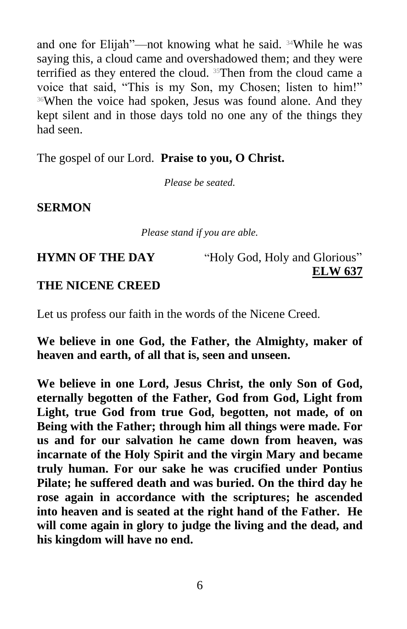and one for Elijah"—not knowing what he said. 34While he was saying this, a cloud came and overshadowed them; and they were terrified as they entered the cloud. 35Then from the cloud came a voice that said, "This is my Son, my Chosen; listen to him!" <sup>36</sup>When the voice had spoken, Jesus was found alone. And they kept silent and in those days told no one any of the things they had seen.

The gospel of our Lord. **Praise to you, O Christ.**

*Please be seated.*

#### **SERMON**

*Please stand if you are able.*

**HYMN OF THE DAY** "Holy God, Holy and Glorious" **ELW 637**

#### **THE NICENE CREED**

Let us profess our faith in the words of the Nicene Creed.

**We believe in one God, the Father, the Almighty, maker of heaven and earth, of all that is, seen and unseen.**

**We believe in one Lord, Jesus Christ, the only Son of God, eternally begotten of the Father, God from God, Light from Light, true God from true God, begotten, not made, of on Being with the Father; through him all things were made. For us and for our salvation he came down from heaven, was incarnate of the Holy Spirit and the virgin Mary and became truly human. For our sake he was crucified under Pontius Pilate; he suffered death and was buried. On the third day he rose again in accordance with the scriptures; he ascended into heaven and is seated at the right hand of the Father. He will come again in glory to judge the living and the dead, and his kingdom will have no end.**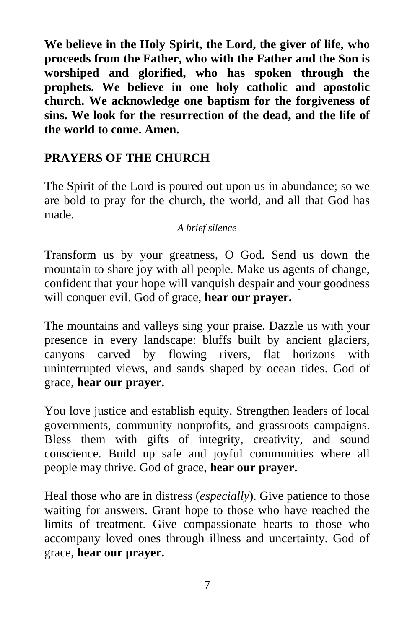**We believe in the Holy Spirit, the Lord, the giver of life, who proceeds from the Father, who with the Father and the Son is worshiped and glorified, who has spoken through the prophets. We believe in one holy catholic and apostolic church. We acknowledge one baptism for the forgiveness of sins. We look for the resurrection of the dead, and the life of the world to come. Amen.**

# **PRAYERS OF THE CHURCH**

The Spirit of the Lord is poured out upon us in abundance; so we are bold to pray for the church, the world, and all that God has made.

#### *A brief silence*

Transform us by your greatness, O God. Send us down the mountain to share joy with all people. Make us agents of change, confident that your hope will vanquish despair and your goodness will conquer evil. God of grace, **hear our prayer.**

The mountains and valleys sing your praise. Dazzle us with your presence in every landscape: bluffs built by ancient glaciers, canyons carved by flowing rivers, flat horizons with uninterrupted views, and sands shaped by ocean tides. God of grace, **hear our prayer.**

You love justice and establish equity. Strengthen leaders of local governments, community nonprofits, and grassroots campaigns. Bless them with gifts of integrity, creativity, and sound conscience. Build up safe and joyful communities where all people may thrive. God of grace, **hear our prayer.**

Heal those who are in distress (*especially*). Give patience to those waiting for answers. Grant hope to those who have reached the limits of treatment. Give compassionate hearts to those who accompany loved ones through illness and uncertainty. God of grace, **hear our prayer.**

7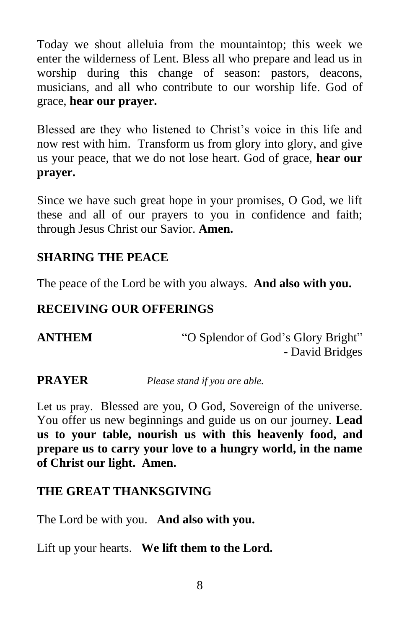Today we shout alleluia from the mountaintop; this week we enter the wilderness of Lent. Bless all who prepare and lead us in worship during this change of season: pastors, deacons, musicians, and all who contribute to our worship life. God of grace, **hear our prayer.**

Blessed are they who listened to Christ's voice in this life and now rest with him. Transform us from glory into glory, and give us your peace, that we do not lose heart. God of grace, **hear our prayer.**

Since we have such great hope in your promises, O God, we lift these and all of our prayers to you in confidence and faith; through Jesus Christ our Savior. **Amen.**

# **SHARING THE PEACE**

The peace of the Lord be with you always. **And also with you.**

### **RECEIVING OUR OFFERINGS**

| <b>ANTHEM</b> | "O Splendor of God's Glory Bright" |
|---------------|------------------------------------|
|               | - David Bridges                    |

**PRAYER** *Please stand if you are able.*

Let us pray. Blessed are you, O God, Sovereign of the universe. You offer us new beginnings and guide us on our journey. **Lead us to your table, nourish us with this heavenly food, and prepare us to carry your love to a hungry world, in the name of Christ our light. Amen.**

#### **THE GREAT THANKSGIVING**

The Lord be with you. **And also with you.**

Lift up your hearts. **We lift them to the Lord.**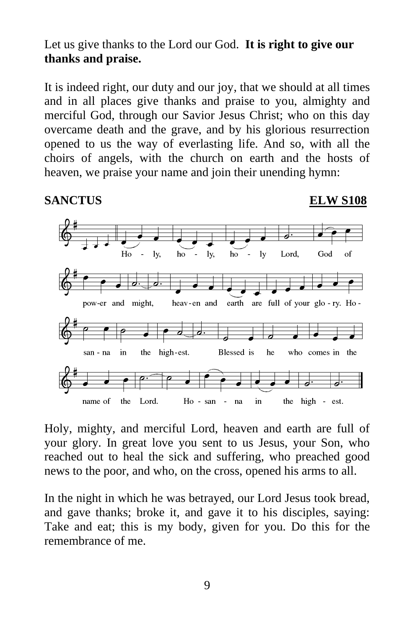#### Let us give thanks to the Lord our God. **It is right to give our thanks and praise.**

It is indeed right, our duty and our joy, that we should at all times and in all places give thanks and praise to you, almighty and merciful God, through our Savior Jesus Christ; who on this day overcame death and the grave, and by his glorious resurrection opened to us the way of everlasting life. And so, with all the choirs of angels, with the church on earth and the hosts of heaven, we praise your name and join their unending hymn:

**SANCTUS ELW S108**



Holy, mighty, and merciful Lord, heaven and earth are full of your glory. In great love you sent to us Jesus, your Son, who reached out to heal the sick and suffering, who preached good news to the poor, and who, on the cross, opened his arms to all.

In the night in which he was betrayed, our Lord Jesus took bread, and gave thanks; broke it, and gave it to his disciples, saying: Take and eat; this is my body, given for you. Do this for the remembrance of me.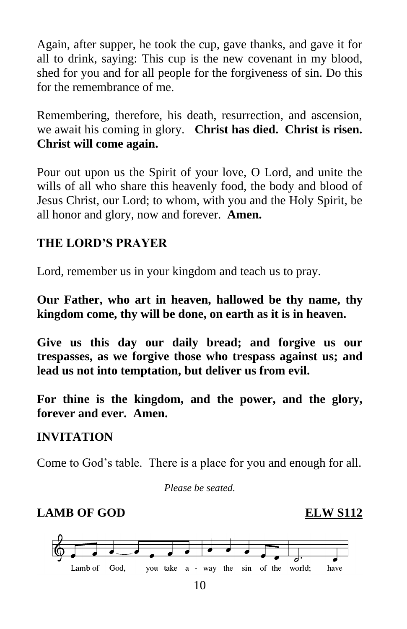Again, after supper, he took the cup, gave thanks, and gave it for all to drink, saying: This cup is the new covenant in my blood, shed for you and for all people for the forgiveness of sin. Do this for the remembrance of me.

Remembering, therefore, his death, resurrection, and ascension, we await his coming in glory. **Christ has died. Christ is risen. Christ will come again.** 

Pour out upon us the Spirit of your love, O Lord, and unite the wills of all who share this heavenly food, the body and blood of Jesus Christ, our Lord; to whom, with you and the Holy Spirit, be all honor and glory, now and forever. **Amen.**

### **THE LORD'S PRAYER**

Lord, remember us in your kingdom and teach us to pray.

**Our Father, who art in heaven, hallowed be thy name, thy kingdom come, thy will be done, on earth as it is in heaven.**

**Give us this day our daily bread; and forgive us our trespasses, as we forgive those who trespass against us; and lead us not into temptation, but deliver us from evil.**

**For thine is the kingdom, and the power, and the glory, forever and ever. Amen.**

#### **INVITATION**

Come to God's table. There is a place for you and enough for all.

*Please be seated.*

# **LAMB OF GOD ELW S112**



10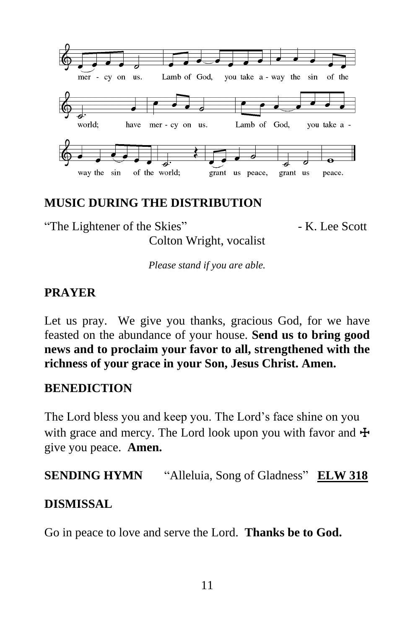

### **MUSIC DURING THE DISTRIBUTION**

"The Lightener of the Skies" - K. Lee Scott

Colton Wright, vocalist *Please stand if you are able.*

# **PRAYER**

Let us pray. We give you thanks, gracious God, for we have feasted on the abundance of your house. **Send us to bring good news and to proclaim your favor to all, strengthened with the richness of your grace in your Son, Jesus Christ. Amen.**

# **BENEDICTION**

The Lord bless you and keep you. The Lord's face shine on you with grace and mercy. The Lord look upon you with favor and  $\pm$ give you peace. **Amen.**

**SENDING HYMN** "Alleluia, Song of Gladness" **ELW 318**

#### **DISMISSAL**

Go in peace to love and serve the Lord. **Thanks be to God.**